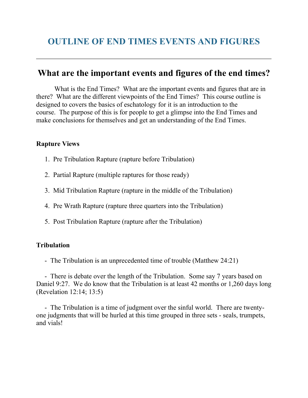# **What are the important events and figures of the end times?**

What is the End Times? What are the important events and figures that are in there? What are the different viewpoints of the End Times? This course outline is designed to covers the basics of eschatology for it is an introduction to the course. The purpose of this is for people to get a glimpse into the End Times and make conclusions for themselves and get an understanding of the End Times.

### **Rapture Views**

- 1. Pre Tribulation Rapture (rapture before Tribulation)
- 2. Partial Rapture (multiple raptures for those ready)
- 3. Mid Tribulation Rapture (rapture in the middle of the Tribulation)
- 4. Pre Wrath Rapture (rapture three quarters into the Tribulation)
- 5. Post Tribulation Rapture (rapture after the Tribulation)

### **Tribulation**

- The Tribulation is an unprecedented time of trouble (Matthew 24:21)

 - There is debate over the length of the Tribulation. Some say 7 years based on Daniel 9:27. We do know that the Tribulation is at least 42 months or 1,260 days long (Revelation 12:14; 13:5)

 - The Tribulation is a time of judgment over the sinful world. There are twentyone judgments that will be hurled at this time grouped in three sets - seals, trumpets, and vials!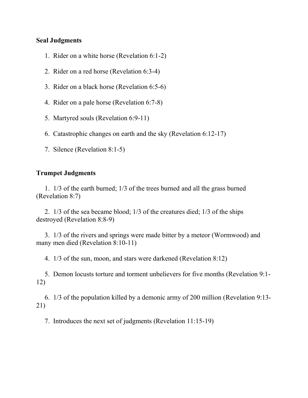#### **Seal Judgments**

- 1. Rider on a white horse (Revelation 6:1-2)
- 2. Rider on a red horse (Revelation 6:3-4)
- 3. Rider on a black horse (Revelation 6:5-6)
- 4. Rider on a pale horse (Revelation 6:7-8)
- 5. Martyred souls (Revelation 6:9-11)
- 6. Catastrophic changes on earth and the sky (Revelation 6:12-17)
- 7. Silence (Revelation 8:1-5)

### **Trumpet Judgments**

 1. 1/3 of the earth burned; 1/3 of the trees burned and all the grass burned (Revelation 8:7)

 2. 1/3 of the sea became blood; 1/3 of the creatures died; 1/3 of the ships destroyed (Revelation 8:8-9)

 3. 1/3 of the rivers and springs were made bitter by a meteor (Wormwood) and many men died (Revelation 8:10-11)

4. 1/3 of the sun, moon, and stars were darkened (Revelation 8:12)

 5. Demon locusts torture and torment unbelievers for five months (Revelation 9:1- 12)

 6. 1/3 of the population killed by a demonic army of 200 million (Revelation 9:13- 21)

7. Introduces the next set of judgments (Revelation 11:15-19)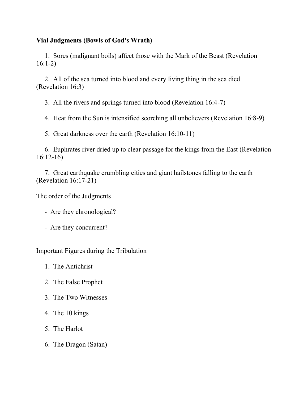### **Vial Judgments (Bowls of God's Wrath)**

 1. Sores (malignant boils) affect those with the Mark of the Beast (Revelation 16:1-2)

 2. All of the sea turned into blood and every living thing in the sea died (Revelation 16:3)

3. All the rivers and springs turned into blood (Revelation 16:4-7)

4. Heat from the Sun is intensified scorching all unbelievers (Revelation 16:8-9)

5. Great darkness over the earth (Revelation 16:10-11)

 6. Euphrates river dried up to clear passage for the kings from the East (Revelation 16:12-16)

 7. Great earthquake crumbling cities and giant hailstones falling to the earth (Revelation 16:17-21)

The order of the Judgments

- Are they chronological?
- Are they concurrent?

### Important Figures during the Tribulation

- 1. The Antichrist
- 2. The False Prophet
- 3. The Two Witnesses
- 4. The 10 kings
- 5. The Harlot
- 6. The Dragon (Satan)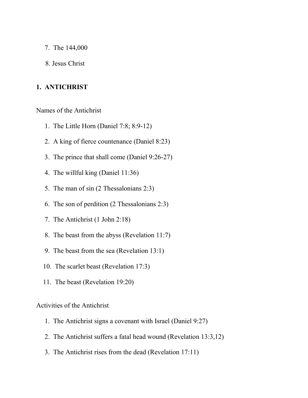- 7. The 144,000
- 8. Jesus Christ

#### **1. ANTICHRIST**

Names of the Antichrist

- 1. The Little Horn (Daniel 7:8; 8:9-12)
- 2. A king of fierce countenance (Daniel 8:23)
- 3. The prince that shall come (Daniel 9:26-27)
- 4. The willful king (Daniel 11:36)
- 5. The man of sin (2 Thessalonians 2:3)
- 6. The son of perdition (2 Thessalonians 2:3)
- 7. The Antichrist (1 John 2:18)
- 8. The beast from the abyss (Revelation 11:7)
- 9. The beast from the sea (Revelation 13:1)
- 10. The scarlet beast (Revelation 17:3)
- 11. The beast (Revelation 19:20)

#### Activities of the Antichrist

- 1. The Antichrist signs a covenant with Israel (Daniel 9:27)
- 2. The Antichrist suffers a fatal head wound (Revelation 13:3,12)
- 3. The Antichrist rises from the dead (Revelation 17:11)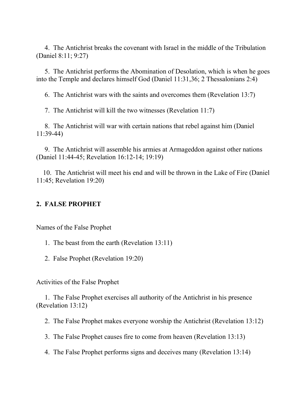4. The Antichrist breaks the covenant with Israel in the middle of the Tribulation (Daniel 8:11; 9:27)

 5. The Antichrist performs the Abomination of Desolation, which is when he goes into the Temple and declares himself God (Daniel 11:31,36; 2 Thessalonians 2:4)

6. The Antichrist wars with the saints and overcomes them (Revelation 13:7)

7. The Antichrist will kill the two witnesses (Revelation 11:7)

 8. The Antichrist will war with certain nations that rebel against him (Daniel 11:39-44)

 9. The Antichrist will assemble his armies at Armageddon against other nations (Daniel 11:44-45; Revelation 16:12-14; 19:19)

 10. The Antichrist will meet his end and will be thrown in the Lake of Fire (Daniel 11:45; Revelation 19:20)

### **2. FALSE PROPHET**

Names of the False Prophet

- 1. The beast from the earth (Revelation 13:11)
- 2. False Prophet (Revelation 19:20)

Activities of the False Prophet

 1. The False Prophet exercises all authority of the Antichrist in his presence (Revelation 13:12)

2. The False Prophet makes everyone worship the Antichrist (Revelation 13:12)

3. The False Prophet causes fire to come from heaven (Revelation 13:13)

4. The False Prophet performs signs and deceives many (Revelation 13:14)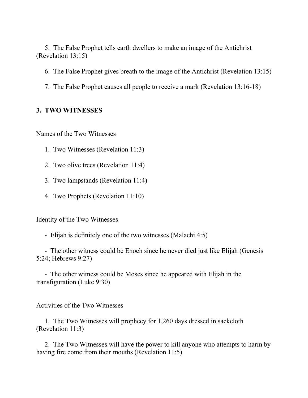5. The False Prophet tells earth dwellers to make an image of the Antichrist (Revelation 13:15)

6. The False Prophet gives breath to the image of the Antichrist (Revelation 13:15)

7. The False Prophet causes all people to receive a mark (Revelation 13:16-18)

#### **3. TWO WITNESSES**

Names of the Two Witnesses

- 1. Two Witnesses (Revelation 11:3)
- 2. Two olive trees (Revelation 11:4)
- 3. Two lampstands (Revelation 11:4)
- 4. Two Prophets (Revelation 11:10)

Identity of the Two Witnesses

- Elijah is definitely one of the two witnesses (Malachi 4:5)

 - The other witness could be Enoch since he never died just like Elijah (Genesis 5:24; Hebrews 9:27)

 - The other witness could be Moses since he appeared with Elijah in the transfiguration (Luke 9:30)

Activities of the Two Witnesses

 1. The Two Witnesses will prophecy for 1,260 days dressed in sackcloth (Revelation 11:3)

 2. The Two Witnesses will have the power to kill anyone who attempts to harm by having fire come from their mouths (Revelation 11:5)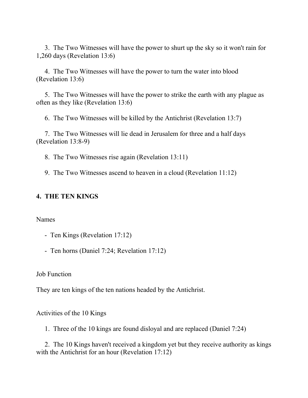3. The Two Witnesses will have the power to shurt up the sky so it won't rain for 1,260 days (Revelation 13:6)

 4. The Two Witnesses will have the power to turn the water into blood (Revelation 13:6)

 5. The Two Witnesses will have the power to strike the earth with any plague as often as they like (Revelation 13:6)

6. The Two Witnesses will be killed by the Antichrist (Revelation 13:7)

 7. The Two Witnesses will lie dead in Jerusalem for three and a half days (Revelation 13:8-9)

8. The Two Witnesses rise again (Revelation 13:11)

9. The Two Witnesses ascend to heaven in a cloud (Revelation 11:12)

#### **4. THE TEN KINGS**

Names

- Ten Kings (Revelation 17:12)
- Ten horns (Daniel 7:24; Revelation 17:12)

Job Function

They are ten kings of the ten nations headed by the Antichrist.

Activities of the 10 Kings

1. Three of the 10 kings are found disloyal and are replaced (Daniel 7:24)

 2. The 10 Kings haven't received a kingdom yet but they receive authority as kings with the Antichrist for an hour (Revelation 17:12)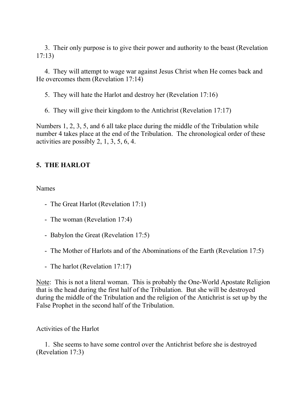3. Their only purpose is to give their power and authority to the beast (Revelation 17:13)

 4. They will attempt to wage war against Jesus Christ when He comes back and He overcomes them (Revelation 17:14)

5. They will hate the Harlot and destroy her (Revelation 17:16)

6. They will give their kingdom to the Antichrist (Revelation 17:17)

Numbers 1, 2, 3, 5, and 6 all take place during the middle of the Tribulation while number 4 takes place at the end of the Tribulation. The chronological order of these activities are possibly 2, 1, 3, 5, 6, 4.

# **5. THE HARLOT**

Names

- The Great Harlot (Revelation 17:1)
- The woman (Revelation 17:4)
- Babylon the Great (Revelation 17:5)
- The Mother of Harlots and of the Abominations of the Earth (Revelation 17:5)
- The harlot (Revelation 17:17)

Note: This is not a literal woman. This is probably the One-World Apostate Religion that is the head during the first half of the Tribulation. But she will be destroyed during the middle of the Tribulation and the religion of the Antichrist is set up by the False Prophet in the second half of the Tribulation.

### Activities of the Harlot

 1. She seems to have some control over the Antichrist before she is destroyed (Revelation 17:3)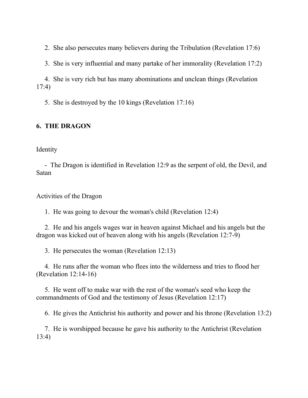2. She also persecutes many believers during the Tribulation (Revelation 17:6)

3. She is very influential and many partake of her immorality (Revelation 17:2)

 4. She is very rich but has many abominations and unclean things (Revelation 17:4)

5. She is destroyed by the 10 kings (Revelation 17:16)

# **6. THE DRAGON**

Identity

 - The Dragon is identified in Revelation 12:9 as the serpent of old, the Devil, and Satan

Activities of the Dragon

1. He was going to devour the woman's child (Revelation 12:4)

 2. He and his angels wages war in heaven against Michael and his angels but the dragon was kicked out of heaven along with his angels (Revelation 12:7-9)

3. He persecutes the woman (Revelation 12:13)

 4. He runs after the woman who flees into the wilderness and tries to flood her (Revelation 12:14-16)

 5. He went off to make war with the rest of the woman's seed who keep the commandments of God and the testimony of Jesus (Revelation 12:17)

6. He gives the Antichrist his authority and power and his throne (Revelation 13:2)

 7. He is worshipped because he gave his authority to the Antichrist (Revelation 13:4)